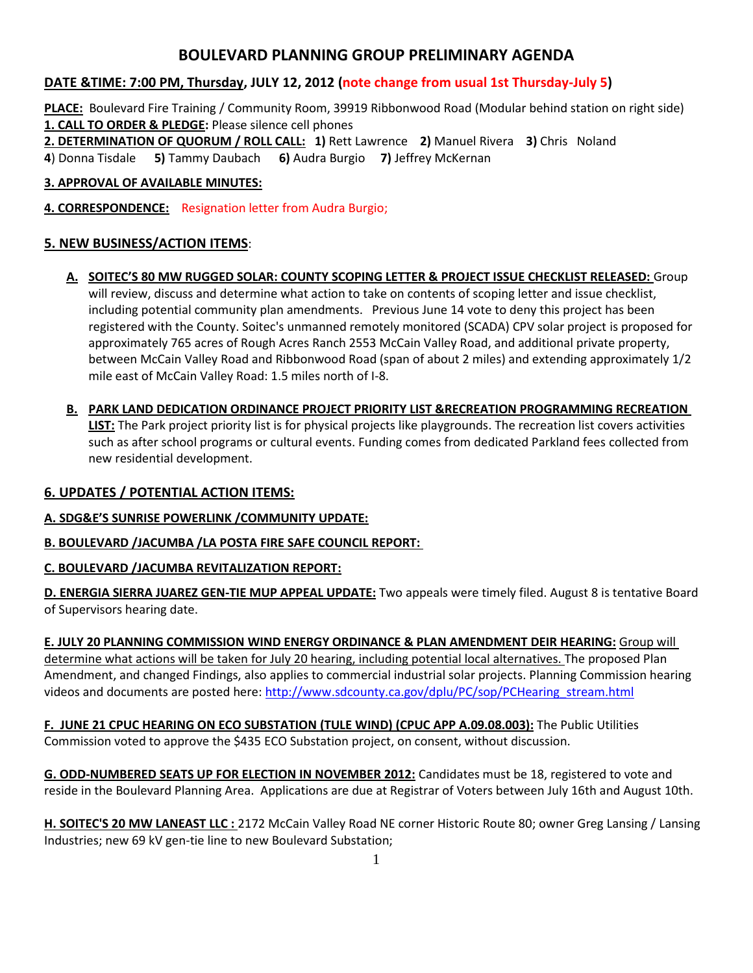# **BOULEVARD PLANNING GROUP PRELIMINARY AGENDA**

## **DATE &TIME: 7:00 PM, Thursday, JULY 12, 2012 (note change from usual 1st Thursday-July 5)**

**PLACE:** Boulevard Fire Training / Community Room, 39919 Ribbonwood Road (Modular behind station on right side) **1. CALL TO ORDER & PLEDGE:** Please silence cell phones

**2. DETERMINATION OF QUORUM / ROLL CALL: 1)** Rett Lawrence **2)** Manuel Rivera **3)** Chris Noland

**4**) Donna Tisdale **5)** Tammy Daubach **6)** Audra Burgio **7)** Jeffrey McKernan

#### **3. APPROVAL OF AVAILABLE MINUTES:**

**4. CORRESPONDENCE:** Resignation letter from Audra Burgio;

### **5. NEW BUSINESS/ACTION ITEMS**:

- **A. SOITEC'S 80 MW RUGGED SOLAR: COUNTY SCOPING LETTER & PROJECT ISSUE CHECKLIST RELEASED:** Group will review, discuss and determine what action to take on contents of scoping letter and issue checklist, including potential community plan amendments. Previous June 14 vote to deny this project has been registered with the County. Soitec's unmanned remotely monitored (SCADA) CPV solar project is proposed for approximately 765 acres of Rough Acres Ranch 2553 McCain Valley Road, and additional private property, between McCain Valley Road and Ribbonwood Road (span of about 2 miles) and extending approximately 1/2 mile east of McCain Valley Road: 1.5 miles north of I-8.
- **B. PARK LAND DEDICATION ORDINANCE PROJECT PRIORITY LIST &RECREATION PROGRAMMING RECREATION LIST:** The Park project priority list is for physical projects like playgrounds. The recreation list covers activities such as after school programs or cultural events. Funding comes from dedicated Parkland fees collected from new residential development.

#### **6. UPDATES / POTENTIAL ACTION ITEMS:**

#### **A. SDG&E'S SUNRISE POWERLINK /COMMUNITY UPDATE:**

#### **B. BOULEVARD /JACUMBA /LA POSTA FIRE SAFE COUNCIL REPORT:**

#### **C. BOULEVARD /JACUMBA REVITALIZATION REPORT:**

**D. ENERGIA SIERRA JUAREZ GEN-TIE MUP APPEAL UPDATE:** Two appeals were timely filed. August 8 is tentative Board of Supervisors hearing date.

**E. JULY 20 PLANNING COMMISSION WIND ENERGY ORDINANCE & PLAN AMENDMENT DEIR HEARING:** Group will determine what actions will be taken for July 20 hearing, including potential local alternatives. The proposed Plan Amendment, and changed Findings, also applies to commercial industrial solar projects. Planning Commission hearing videos and documents are posted here[: http://www.sdcounty.ca.gov/dplu/PC/sop/PCHearing\\_stream.html](http://www.sdcounty.ca.gov/dplu/PC/sop/PCHearing_stream.html)

**F. JUNE 21 CPUC HEARING ON ECO SUBSTATION (TULE WIND) (CPUC APP A.09.08.003):** The Public Utilities Commission voted to approve the \$435 ECO Substation project, on consent, without discussion.

**G. ODD-NUMBERED SEATS UP FOR ELECTION IN NOVEMBER 2012:** Candidates must be 18, registered to vote and reside in the Boulevard Planning Area. Applications are due at Registrar of Voters between July 16th and August 10th.

**H. SOITEC'S 20 MW LANEAST LLC :** 2172 McCain Valley Road NE corner Historic Route 80; owner Greg Lansing / Lansing Industries; new 69 kV gen-tie line to new Boulevard Substation;